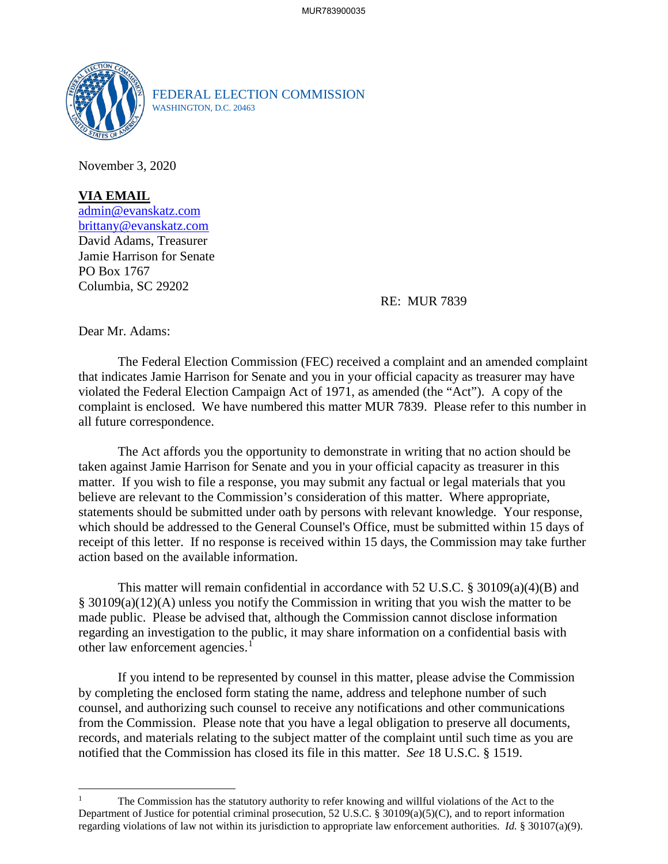

FEDERAL ELECTION COMMISSION WASHINGTON, D.C. 20463

November 3, 2020

**VIA EMAIL** [admin@evanskatz.com](mailto:admin@evanskatz.com) [brittany@evanskatz.com](mailto:brittany@evanskatz.com) David Adams, Treasurer Jamie Harrison for Senate PO Box 1767 Columbia, SC 29202

RE: MUR 7839

Dear Mr. Adams:

The Federal Election Commission (FEC) received a complaint and an amended complaint that indicates Jamie Harrison for Senate and you in your official capacity as treasurer may have violated the Federal Election Campaign Act of 1971, as amended (the "Act"). A copy of the complaint is enclosed. We have numbered this matter MUR 7839. Please refer to this number in all future correspondence.

The Act affords you the opportunity to demonstrate in writing that no action should be taken against Jamie Harrison for Senate and you in your official capacity as treasurer in this matter. If you wish to file a response, you may submit any factual or legal materials that you believe are relevant to the Commission's consideration of this matter. Where appropriate, statements should be submitted under oath by persons with relevant knowledge. Your response, which should be addressed to the General Counsel's Office, must be submitted within 15 days of receipt of this letter. If no response is received within 15 days, the Commission may take further action based on the available information.

This matter will remain confidential in accordance with 52 U.S.C. § 30109(a)(4)(B) and § 30109(a)(12)(A) unless you notify the Commission in writing that you wish the matter to be made public. Please be advised that, although the Commission cannot disclose information regarding an investigation to the public, it may share information on a confidential basis with other law enforcement agencies.<sup>[1](#page-0-0)</sup>

If you intend to be represented by counsel in this matter, please advise the Commission by completing the enclosed form stating the name, address and telephone number of such counsel, and authorizing such counsel to receive any notifications and other communications from the Commission. Please note that you have a legal obligation to preserve all documents, records, and materials relating to the subject matter of the complaint until such time as you are notified that the Commission has closed its file in this matter. *See* 18 U.S.C. § 1519.

<span id="page-0-0"></span><sup>1</sup> The Commission has the statutory authority to refer knowing and willful violations of the Act to the Department of Justice for potential criminal prosecution, 52 U.S.C. § 30109(a)(5)(C), and to report information regarding violations of law not within its jurisdiction to appropriate law enforcement authorities. *Id.* § 30107(a)(9).